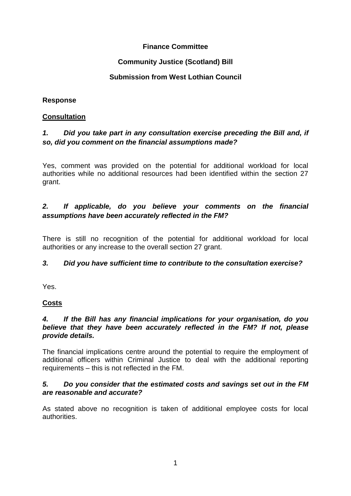## **Finance Committee**

## **Community Justice (Scotland) Bill**

## **Submission from West Lothian Council**

## **Response**

## **Consultation**

# *1. Did you take part in any consultation exercise preceding the Bill and, if so, did you comment on the financial assumptions made?*

Yes, comment was provided on the potential for additional workload for local authorities while no additional resources had been identified within the section 27 grant.

## *2. If applicable, do you believe your comments on the financial assumptions have been accurately reflected in the FM?*

There is still no recognition of the potential for additional workload for local authorities or any increase to the overall section 27 grant.

## *3. Did you have sufficient time to contribute to the consultation exercise?*

Yes.

# **Costs**

### *4. If the Bill has any financial implications for your organisation, do you believe that they have been accurately reflected in the FM? If not, please provide details.*

The financial implications centre around the potential to require the employment of additional officers within Criminal Justice to deal with the additional reporting requirements – this is not reflected in the FM.

### *5. Do you consider that the estimated costs and savings set out in the FM are reasonable and accurate?*

As stated above no recognition is taken of additional employee costs for local authorities.